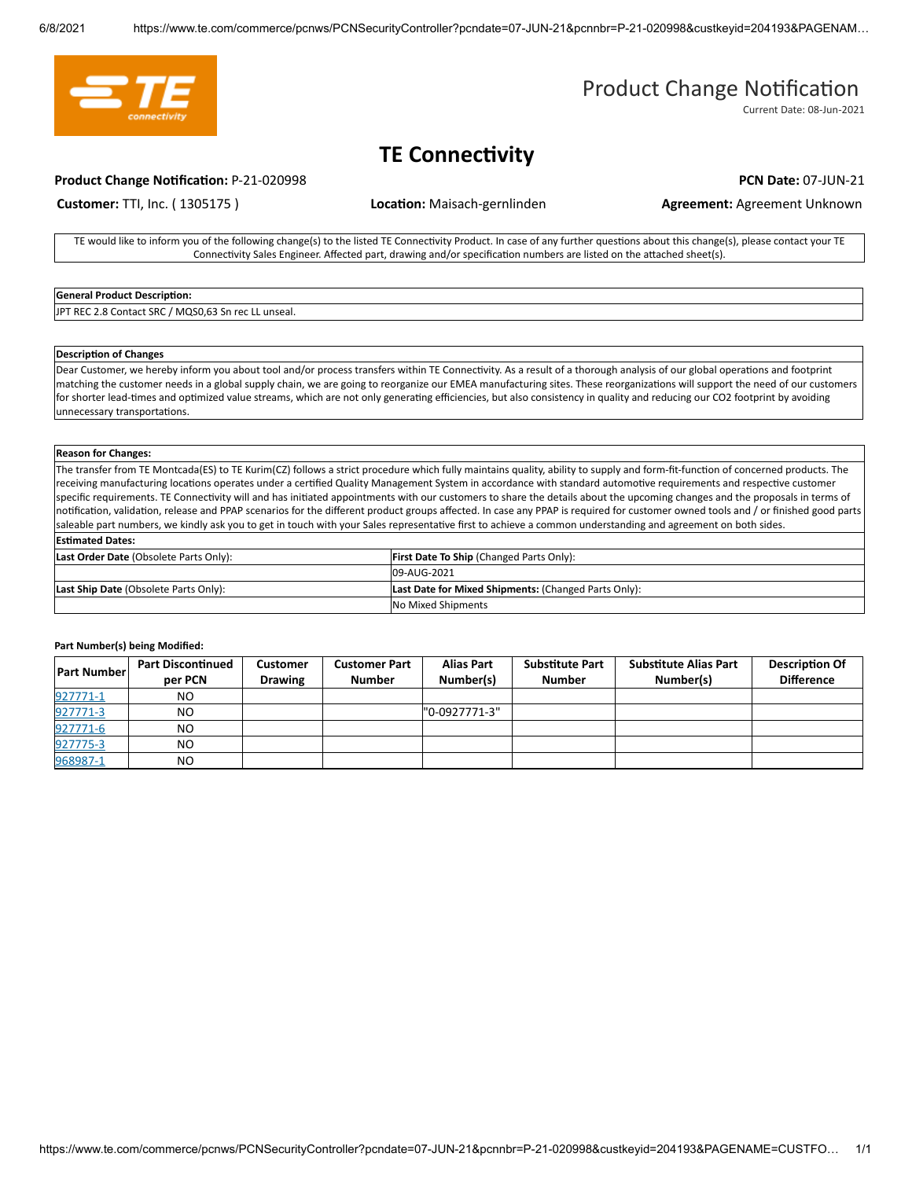

# Product Change Notification

Current Date: 08-Jun-2021

# **TE Connectivity**

### **Product Change Notification:** P-21-020998 **PCN Date: 07-JUN-21 PCN Date: 07-JUN-21**

**Customer: TTI, Inc. (1305175) <b>Location:** Maisach-gernlinden **Agreement: Agreement Unknown** 

TE would like to inform you of the following change(s) to the listed TE Connectivity Product. In case of any further questions about this change(s), please contact your TE Connectivity Sales Engineer. Affected part, drawing and/or specification numbers are listed on the attached sheet(s).

## **General Product Description:**

JPT REC 2.8 Contact SRC / MQS0,63 Sn rec LL unseal.

### **Description of Changes**

Dear Customer, we hereby inform you about tool and/or process transfers within TE Connectivity. As a result of a thorough analysis of our global operations and footprint matching the customer needs in a global supply chain, we are going to reorganize our EMEA manufacturing sites. These reorganizations will support the need of our customers for shorter lead-times and optimized value streams, which are not only generating efficiencies, but also consistency in quality and reducing our CO2 footprint by avoiding unnecessary transportations.

#### **Reason for Changes:**

The transfer from TE Montcada(ES) to TE Kurim(CZ) follows a strict procedure which fully maintains quality, ability to supply and form-fit-function of concerned products. The receiving manufacturing locations operates under a certified Quality Management System in accordance with standard automotive requirements and respective customer specific requirements. TE Connectivity will and has initiated appointments with our customers to share the details about the upcoming changes and the proposals in terms of notification, validation, release and PPAP scenarios for the different product groups affected. In case any PPAP is required for customer owned tools and / or finished good parts saleable part numbers, we kindly ask you to get in touch with your Sales representative first to achieve a common understanding and agreement on both sides. **Esmated Dates:**

| Last Order Date (Obsolete Parts Only): | <b>First Date To Ship (Changed Parts Only):</b>      |  |
|----------------------------------------|------------------------------------------------------|--|
|                                        | 09-AUG-2021                                          |  |
| Last Ship Date (Obsolete Parts Only):  | Last Date for Mixed Shipments: (Changed Parts Only): |  |
|                                        | No Mixed Shipments                                   |  |

#### **Part Number(s) being Modified:**

| <b>Part Number</b> | <b>Part Discontinued</b><br>per PCN | <b>Customer</b><br><b>Drawing</b> | <b>Customer Part</b><br><b>Number</b> | <b>Alias Part</b><br>Number(s) | <b>Substitute Part</b><br><b>Number</b> | <b>Substitute Alias Part</b><br>Number(s) | <b>Description Of</b><br><b>Difference</b> |
|--------------------|-------------------------------------|-----------------------------------|---------------------------------------|--------------------------------|-----------------------------------------|-------------------------------------------|--------------------------------------------|
| 927771-1           | NO.                                 |                                   |                                       |                                |                                         |                                           |                                            |
| 927771-3           | NO.                                 |                                   |                                       | "0-0927771-3"                  |                                         |                                           |                                            |
| 927771-6           | NO.                                 |                                   |                                       |                                |                                         |                                           |                                            |
| 927775-3           | NO.                                 |                                   |                                       |                                |                                         |                                           |                                            |
| 968987-1           | NO.                                 |                                   |                                       |                                |                                         |                                           |                                            |